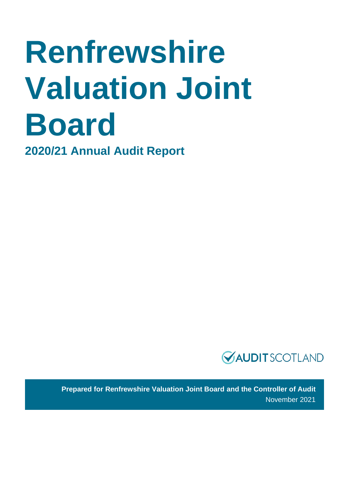# **Renfrewshire Valuation Joint Board**

**2020/21 Annual Audit Report**



**Prepared for Renfrewshire Valuation Joint Board and the Controller of Audit** November 2021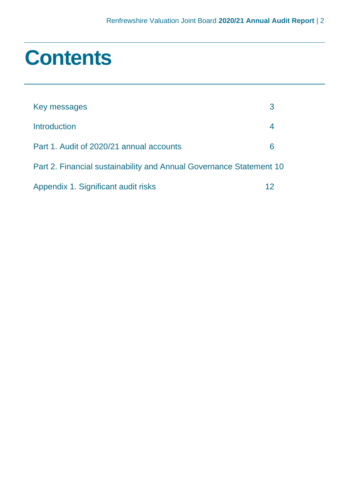### **Contents**

| Key messages                                                        |    |  |
|---------------------------------------------------------------------|----|--|
| Introduction                                                        |    |  |
| Part 1. Audit of 2020/21 annual accounts                            | 6  |  |
| Part 2. Financial sustainability and Annual Governance Statement 10 |    |  |
| Appendix 1. Significant audit risks                                 | 12 |  |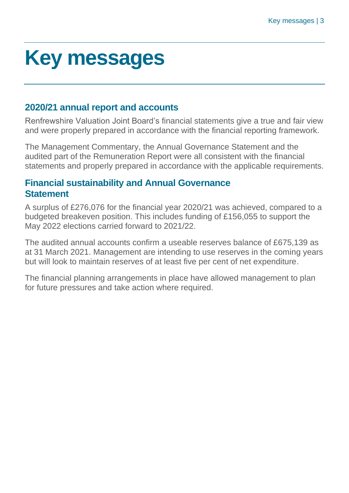### <span id="page-2-0"></span>**Key messages**

#### **2020/21 annual report and accounts**

Renfrewshire Valuation Joint Board's financial statements give a true and fair view and were properly prepared in accordance with the financial reporting framework.

The Management Commentary, the Annual Governance Statement and the audited part of the Remuneration Report were all consistent with the financial statements and properly prepared in accordance with the applicable requirements.

#### **Financial sustainability and Annual Governance Statement**

A surplus of £276,076 for the financial year 2020/21 was achieved, compared to a budgeted breakeven position. This includes funding of £156,055 to support the May 2022 elections carried forward to 2021/22.

The audited annual accounts confirm a useable reserves balance of £675,139 as at 31 March 2021. Management are intending to use reserves in the coming years but will look to maintain reserves of at least five per cent of net expenditure.

The financial planning arrangements in place have allowed management to plan for future pressures and take action where required.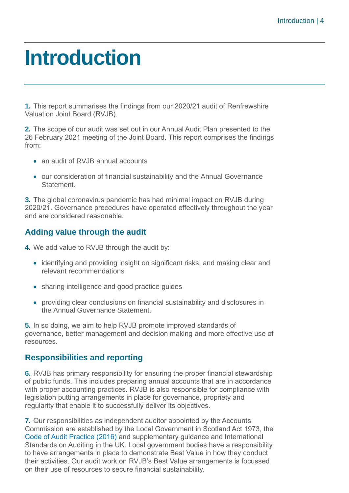### <span id="page-3-0"></span>**Introduction**

**1.** This report summarises the findings from our 2020/21 audit of Renfrewshire Valuation Joint Board (RVJB).

**2.** The scope of our audit was set out in our Annual Audit Plan presented to the 26 February 2021 meeting of the Joint Board. This report comprises the findings from:

- an audit of RVJB annual accounts
- our consideration of financial sustainability and the Annual Governance **Statement**

**3.** The global coronavirus pandemic has had minimal impact on RVJB during 2020/21. Governance procedures have operated effectively throughout the year and are considered reasonable.

#### **Adding value through the audit**

**4.** We add value to RVJB through the audit by:

- identifying and providing insight on significant risks, and making clear and relevant recommendations
- sharing intelligence and good practice guides
- providing clear conclusions on financial sustainability and disclosures in the Annual Governance Statement.

**5.** In so doing, we aim to help RVJB promote improved standards of governance, better management and decision making and more effective use of resources.

#### **Responsibilities and reporting**

**6.** RVJB has primary responsibility for ensuring the proper financial stewardship of public funds. This includes preparing annual accounts that are in accordance with proper accounting practices. RVJB is also responsible for compliance with legislation putting arrangements in place for governance, propriety and regularity that enable it to successfully deliver its objectives.

**7.** Our responsibilities as independent auditor appointed by the Accounts Commission are established by the Local Government in Scotland Act 1973, the [Code of Audit Practice \(2016\)](http://www.audit-scotland.gov.uk/report/code-of-audit-practice-2016) and supplementary guidance and International Standards on Auditing in the UK. Local government bodies have a responsibility to have arrangements in place to demonstrate Best Value in how they conduct their activities. Our audit work on RVJB's Best Value arrangements is focussed on their use of resources to secure financial sustainability.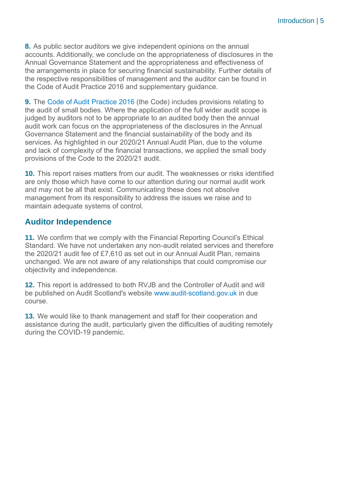**8.** As public sector auditors we give independent opinions on the annual accounts. Additionally, we conclude on the appropriateness of disclosures in the Annual Governance Statement and the appropriateness and effectiveness of the arrangements in place for securing financial sustainability. Further details of the respective responsibilities of management and the auditor can be found in the Code of Audit Practice 2016 and supplementary guidance.

**9.** The [Code of Audit Practice 2016](http://www.audit-scotland.gov.uk/report/code-of-audit-practice-2016) (the Code) includes provisions relating to the audit of small bodies. Where the application of the full wider audit scope is judged by auditors not to be appropriate to an audited body then the annual audit work can focus on the appropriateness of the disclosures in the Annual Governance Statement and the financial sustainability of the body and its services. As highlighted in our 2020/21 Annual Audit Plan, due to the volume and lack of complexity of the financial transactions, we applied the small body provisions of the Code to the 2020/21 audit.

**10.** This report raises matters from our audit. The weaknesses or risks identified are only those which have come to our attention during our normal audit work and may not be all that exist. Communicating these does not absolve management from its responsibility to address the issues we raise and to maintain adequate systems of control.

#### **Auditor Independence**

**11.** We confirm that we comply with the Financial Reporting Council's Ethical Standard. We have not undertaken any non-audit related services and therefore the 2020/21 audit fee of £7,610 as set out in our Annual Audit Plan, remains unchanged. We are not aware of any relationships that could compromise our objectivity and independence.

**12.** This report is addressed to both RVJB and the Controller of Audit and will be published on Audit Scotland's website [www.audit-scotland.gov.uk](http://www.audit-scotland.gov.uk/) in due course.

**13.** We would like to thank management and staff for their cooperation and assistance during the audit, particularly given the difficulties of auditing remotely during the COVID-19 pandemic.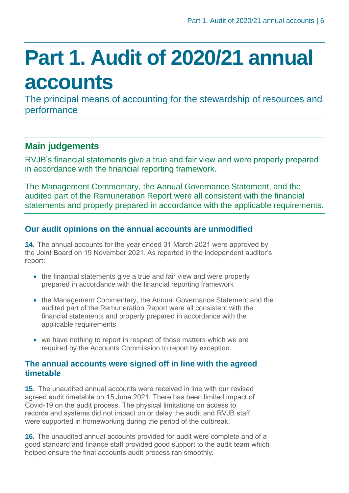## <span id="page-5-0"></span>**Part 1. Audit of 2020/21 annual accounts**

The principal means of accounting for the stewardship of resources and performance

#### **Main judgements**

RVJB's financial statements give a true and fair view and were properly prepared in accordance with the financial reporting framework.

The Management Commentary, the Annual Governance Statement, and the audited part of the Remuneration Report were all consistent with the financial statements and properly prepared in accordance with the applicable requirements.

#### **Our audit opinions on the annual accounts are unmodified**

**14.** The annual accounts for the year ended 31 March 2021 were approved by the Joint Board on 19 November 2021. As reported in the independent auditor's report:

- the financial statements give a true and fair view and were properly prepared in accordance with the financial reporting framework
- the Management Commentary, the Annual Governance Statement and the audited part of the Remuneration Report were all consistent with the financial statements and properly prepared in accordance with the applicable requirements
- we have nothing to report in respect of those matters which we are required by the Accounts Commission to report by exception.

#### **The annual accounts were signed off in line with the agreed timetable**

**15.** The unaudited annual accounts were received in line with our revised agreed audit timetable on 15 June 2021. There has been limited impact of Covid-19 on the audit process. The physical limitations on access to records and systems did not impact on or delay the audit and RVJB staff were supported in homeworking during the period of the outbreak.

**16.** The unaudited annual accounts provided for audit were complete and of a good standard and finance staff provided good support to the audit team which helped ensure the final accounts audit process ran smoothly.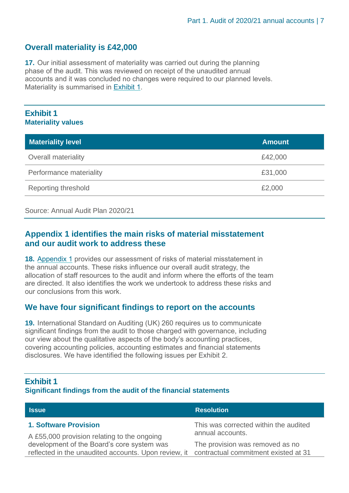#### **Overall materiality is £42,000**

**17.** Our initial assessment of materiality was carried out during the planning phase of the audit. This was reviewed on receipt of the unaudited annual accounts and it was concluded no changes were required to our planned levels. Materiality is summarised in [Exhibit](#page-6-0) 1.

#### <span id="page-6-0"></span>**Exhibit 1 Materiality values**

| <b>Materiality level</b>   | <b>Amount</b> |
|----------------------------|---------------|
| <b>Overall materiality</b> | £42,000       |
| Performance materiality    | £31,000       |
| <b>Reporting threshold</b> | £2,000        |

#### Source: Annual Audit Plan 2020/21

#### **[Appendix 1](#page-11-0) identifies the main risks of material misstatement and our audit work to address these**

**18.** [Appendix 1](#page-11-0) provides our assessment of risks of material misstatement in the annual accounts. These risks influence our overall audit strategy, the allocation of staff resources to the audit and inform where the efforts of the team are directed. It also identifies the work we undertook to address these risks and our conclusions from this work.

#### **We have four significant findings to report on the accounts**

**19.** International Standard on Auditing (UK) 260 requires us to communicate significant findings from the audit to those charged with governance, including our view about the qualitative aspects of the body's accounting practices, covering accounting policies, accounting estimates and financial statements disclosures. We have identified the following issues per Exhibit 2.

#### **Exhibit 1**

#### **Significant findings from the audit of the financial statements**

| <b>Issue</b>                                                                              | <b>Resolution</b>                     |
|-------------------------------------------------------------------------------------------|---------------------------------------|
| <b>1. Software Provision</b>                                                              | This was corrected within the audited |
| A £55,000 provision relating to the ongoing                                               | annual accounts.                      |
| development of the Board's core system was                                                | The provision was removed as no       |
| reflected in the unaudited accounts. Upon review, it contractual commitment existed at 31 |                                       |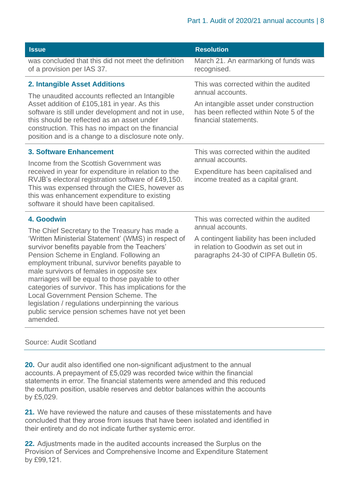| <b>Issue</b>                                                                                                                                                                                                                                                                                                                                                                                                                                                                                                                                                                                        | <b>Resolution</b>                                                                                                                                                                       |
|-----------------------------------------------------------------------------------------------------------------------------------------------------------------------------------------------------------------------------------------------------------------------------------------------------------------------------------------------------------------------------------------------------------------------------------------------------------------------------------------------------------------------------------------------------------------------------------------------------|-----------------------------------------------------------------------------------------------------------------------------------------------------------------------------------------|
| was concluded that this did not meet the definition<br>of a provision per IAS 37.                                                                                                                                                                                                                                                                                                                                                                                                                                                                                                                   | March 21. An earmarking of funds was<br>recognised.                                                                                                                                     |
| <b>2. Intangible Asset Additions</b><br>The unaudited accounts reflected an Intangible<br>Asset addition of £105,181 in year. As this<br>software is still under development and not in use,<br>this should be reflected as an asset under<br>construction. This has no impact on the financial<br>position and is a change to a disclosure note only.                                                                                                                                                                                                                                              | This was corrected within the audited<br>annual accounts.<br>An intangible asset under construction<br>has been reflected within Note 5 of the<br>financial statements.                 |
| <b>3. Software Enhancement</b><br>Income from the Scottish Government was<br>received in year for expenditure in relation to the<br>RVJB's electoral registration software of £49,150.<br>This was expensed through the CIES, however as<br>this was enhancement expenditure to existing<br>software it should have been capitalised.                                                                                                                                                                                                                                                               | This was corrected within the audited<br>annual accounts.<br>Expenditure has been capitalised and<br>income treated as a capital grant.                                                 |
| 4. Goodwin<br>The Chief Secretary to the Treasury has made a<br>'Written Ministerial Statement' (WMS) in respect of<br>survivor benefits payable from the Teachers'<br>Pension Scheme in England. Following an<br>employment tribunal, survivor benefits payable to<br>male survivors of females in opposite sex<br>marriages will be equal to those payable to other<br>categories of survivor. This has implications for the<br><b>Local Government Pension Scheme. The</b><br>legislation / regulations underpinning the various<br>public service pension schemes have not yet been<br>amended. | This was corrected within the audited<br>annual accounts.<br>A contingent liability has been included<br>in relation to Goodwin as set out in<br>paragraphs 24-30 of CIPFA Bulletin 05. |

#### Source: Audit Scotland

**20.** Our audit also identified one non-significant adjustment to the annual accounts. A prepayment of £5,029 was recorded twice within the financial statements in error. The financial statements were amended and this reduced the outturn position, usable reserves and debtor balances within the accounts by £5,029.

**21.** We have reviewed the nature and causes of these misstatements and have concluded that they arose from issues that have been isolated and identified in their entirety and do not indicate further systemic error.

**22.** Adjustments made in the audited accounts increased the Surplus on the Provision of Services and Comprehensive Income and Expenditure Statement by £99,121.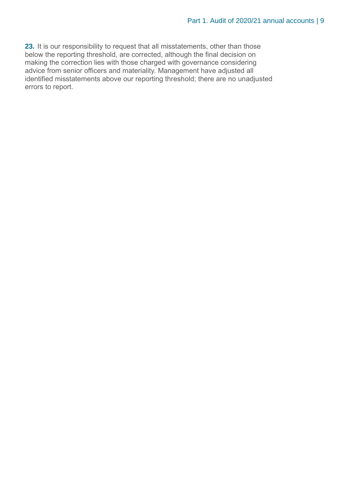**23.** It is our responsibility to request that all misstatements, other than those below the reporting threshold, are corrected, although the final decision on making the correction lies with those charged with governance considering advice from senior officers and materiality. Management have adjusted all identified misstatements above our reporting threshold; there are no unadjusted errors to report.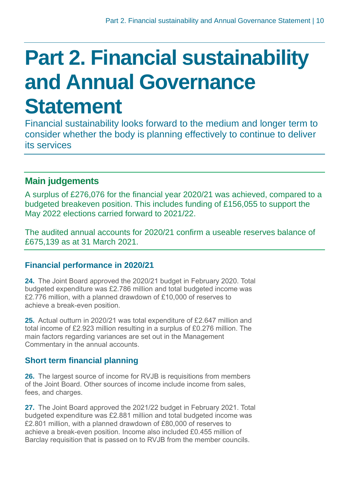### <span id="page-9-0"></span>**Part 2. Financial sustainability and Annual Governance Statement**

Financial sustainability looks forward to the medium and longer term to consider whether the body is planning effectively to continue to deliver its services

#### **Main judgements**

A surplus of £276,076 for the financial year 2020/21 was achieved, compared to a budgeted breakeven position. This includes funding of £156,055 to support the May 2022 elections carried forward to 2021/22.

The audited annual accounts for 2020/21 confirm a useable reserves balance of £675,139 as at 31 March 2021.

#### **Financial performance in 2020/21**

**24.** The Joint Board approved the 2020/21 budget in February 2020. Total budgeted expenditure was £2.786 million and total budgeted income was £2.776 million, with a planned drawdown of £10,000 of reserves to achieve a break-even position.

**25.** Actual outturn in 2020/21 was total expenditure of £2.647 million and total income of £2.923 million resulting in a surplus of £0.276 million. The main factors regarding variances are set out in the Management Commentary in the annual accounts.

#### **Short term financial planning**

**26.** The largest source of income for RVJB is requisitions from members of the Joint Board. Other sources of income include income from sales, fees, and charges.

**27.** The Joint Board approved the 2021/22 budget in February 2021. Total budgeted expenditure was £2.881 million and total budgeted income was £2.801 million, with a planned drawdown of £80,000 of reserves to achieve a break-even position. Income also included £0.455 million of Barclay requisition that is passed on to RVJB from the member councils.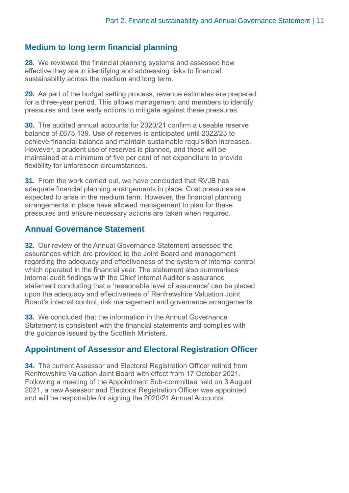#### **Medium to long term financial planning**

**28.** We reviewed the financial planning systems and assessed how effective they are in identifying and addressing risks to financial sustainability across the medium and long term.

**29.** As part of the budget setting process, revenue estimates are prepared for a three-year period. This allows management and members to identify pressures and take early actions to mitigate against these pressures.

**30.** The audited annual accounts for 2020/21 confirm a useable reserve balance of £675,139. Use of reserves is anticipated until 2022/23 to achieve financial balance and maintain sustainable requisition increases. However, a prudent use of reserves is planned, and these will be maintained at a minimum of five per cent of net expenditure to provide flexibility for unforeseen circumstances.

**31.** From the work carried out, we have concluded that RVJB has adequate financial planning arrangements in place. Cost pressures are expected to arise in the medium term. However, the financial planning arrangements in place have allowed management to plan for these pressures and ensure necessary actions are taken when required.

#### **Annual Governance Statement**

**32.** Our review of the Annual Governance Statement assessed the assurances which are provided to the Joint Board and management regarding the adequacy and effectiveness of the system of internal control which operated in the financial year. The statement also summarises internal audit findings with the Chief Internal Auditor's assurance statement concluding that a 'reasonable level of assurance' can be placed upon the adequacy and effectiveness of Renfrewshire Valuation Joint Board's internal control, risk management and governance arrangements.

**33.** We concluded that the information in the Annual Governance Statement is consistent with the financial statements and complies with the guidance issued by the Scottish Ministers.

#### **Appointment of Assessor and Electoral Registration Officer**

**34.** The current Assessor and Electoral Registration Officer retired from Renfrewshire Valuation Joint Board with effect from 17 October 2021. Following a meeting of the Appointment Sub-committee held on 3 August 2021, a new Assessor and Electoral Registration Officer was appointed and will be responsible for signing the 2020/21 Annual Accounts.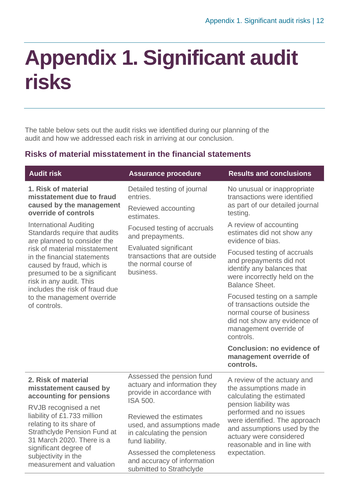### <span id="page-11-0"></span>**Appendix 1. Significant audit risks**

The table below sets out the audit risks we identified during our planning of the audit and how we addressed each risk in arriving at our conclusion.

#### **Risks of material misstatement in the financial statements**

| <b>Audit risk</b>                                                                                                                                                                      | <b>Assurance procedure</b>                                                                                                                            | <b>Results and conclusions</b>                                                                                                                                 |
|----------------------------------------------------------------------------------------------------------------------------------------------------------------------------------------|-------------------------------------------------------------------------------------------------------------------------------------------------------|----------------------------------------------------------------------------------------------------------------------------------------------------------------|
| 1. Risk of material<br>misstatement due to fraud<br>caused by the management<br>override of controls                                                                                   | Detailed testing of journal<br>entries.<br>Reviewed accounting<br>estimates.                                                                          | No unusual or inappropriate<br>transactions were identified<br>as part of our detailed journal<br>testing.                                                     |
| <b>International Auditing</b><br>Standards require that audits<br>are planned to consider the                                                                                          | Focused testing of accruals<br>and prepayments.<br><b>Evaluated significant</b><br>transactions that are outside<br>the normal course of<br>business. | A review of accounting<br>estimates did not show any<br>evidence of bias.                                                                                      |
| risk of material misstatement<br>in the financial statements<br>caused by fraud, which is<br>presumed to be a significant<br>risk in any audit. This<br>includes the risk of fraud due |                                                                                                                                                       | Focused testing of accruals<br>and prepayments did not<br>identify any balances that<br>were incorrectly held on the<br><b>Balance Sheet.</b>                  |
| to the management override<br>of controls.                                                                                                                                             |                                                                                                                                                       | Focused testing on a sample<br>of transactions outside the<br>normal course of business<br>did not show any evidence of<br>management override of<br>controls. |
|                                                                                                                                                                                        |                                                                                                                                                       | <b>Conclusion: no evidence of</b><br>management override of<br>controls.                                                                                       |
| 2. Risk of material<br>misstatement caused by<br>accounting for pensions                                                                                                               | Assessed the pension fund<br>actuary and information they<br>provide in accordance with<br><b>ISA 500.</b>                                            | A review of the actuary and<br>the assumptions made in<br>calculating the estimated<br>pension liability was                                                   |
| RVJB recognised a net<br>liability of £1.733 million<br>relating to its share of<br><b>Strathclyde Pension Fund at</b><br>31 March 2020. There is a                                    | Reviewed the estimates<br>used, and assumptions made<br>in calculating the pension<br>fund liability.                                                 | performed and no issues<br>were identified. The approach<br>and assumptions used by the<br>actuary were considered<br>reasonable and in line with              |
| significant degree of<br>subjectivity in the<br>measurement and valuation                                                                                                              | Assessed the completeness<br>and accuracy of information<br>submitted to Strathclyde                                                                  | expectation.                                                                                                                                                   |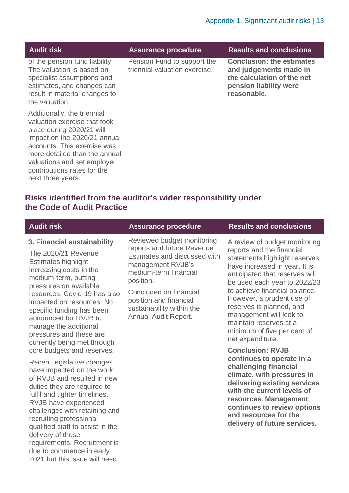| <b>Audit risk</b>                                                                                                                                                                                                                                                           | <b>Assurance procedure</b>                                   | <b>Results and conclusions</b>                                                                                                    |
|-----------------------------------------------------------------------------------------------------------------------------------------------------------------------------------------------------------------------------------------------------------------------------|--------------------------------------------------------------|-----------------------------------------------------------------------------------------------------------------------------------|
| of the pension fund liability.<br>The valuation is based on<br>specialist assumptions and<br>estimates, and changes can<br>result in material changes to<br>the valuation.                                                                                                  | Pension Fund to support the<br>triennial valuation exercise. | <b>Conclusion: the estimates</b><br>and judgements made in<br>the calculation of the net<br>pension liability were<br>reasonable. |
| Additionally, the triennial<br>valuation exercise that took<br>place during 2020/21 will<br>impact on the 2020/21 annual<br>accounts. This exercise was<br>more detailed than the annual<br>valuations and set employer<br>contributions rates for the<br>next three years. |                                                              |                                                                                                                                   |

#### **Risks identified from the auditor's wider responsibility under the Code of Audit Practice**

| <b>Audit risk</b>                                                                                                                                                                                                                                                                                                                                                                                                               | <b>Assurance procedure</b>                                                                                                                          | <b>Results and conclusions</b>                                                                                                                                                                                                                                                             |
|---------------------------------------------------------------------------------------------------------------------------------------------------------------------------------------------------------------------------------------------------------------------------------------------------------------------------------------------------------------------------------------------------------------------------------|-----------------------------------------------------------------------------------------------------------------------------------------------------|--------------------------------------------------------------------------------------------------------------------------------------------------------------------------------------------------------------------------------------------------------------------------------------------|
| 3. Financial sustainability<br>The 2020/21 Revenue<br><b>Estimates highlight</b><br>increasing costs in the<br>medium-term, putting                                                                                                                                                                                                                                                                                             | Reviewed budget monitoring<br>reports and future Revenue<br>Estimates and discussed with<br>management RVJB's<br>medium-term financial<br>position. | A review of budget monitoring<br>reports and the financial<br>statements highlight reserves<br>have increased in year. It is<br>anticipated that reserves will<br>be used each year to 2022/23                                                                                             |
| pressures on available<br>resources. Covid-19 has also<br>impacted on resources. No<br>specific funding has been<br>announced for RVJB to<br>manage the additional<br>pressures and these are<br>currently being met through                                                                                                                                                                                                    | Concluded on financial<br>position and financial<br>sustainability within the<br>Annual Audit Report.                                               | to achieve financial balance.<br>However, a prudent use of<br>reserves is planned, and<br>management will look to<br>maintain reserves at a<br>minimum of five per cent of<br>net expenditure.                                                                                             |
| core budgets and reserves.<br>Recent legislative changes<br>have impacted on the work<br>of RVJB and resulted in new<br>duties they are required to<br>fulfil and tighter timelines.<br>RVJB have experienced<br>challenges with retaining and<br>recruiting professional<br>qualified staff to assist in the<br>delivery of these<br>requirements. Recruitment is<br>due to commence in early<br>2021 but this issue will need |                                                                                                                                                     | <b>Conclusion: RVJB</b><br>continues to operate in a<br>challenging financial<br>climate, with pressures in<br>delivering existing services<br>with the current levels of<br>resources. Management<br>continues to review options<br>and resources for the<br>delivery of future services. |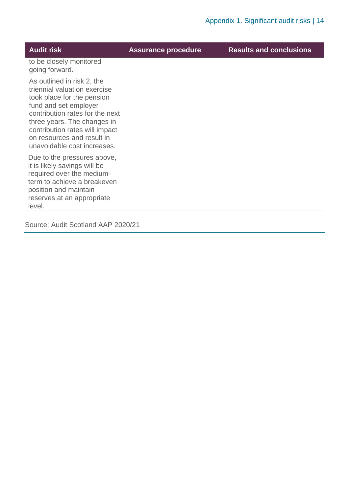| <b>Audit risk</b>                                                                                                                                                                                                                                                                  | <b>Assurance procedure</b> | <b>Results and conclusions</b> |
|------------------------------------------------------------------------------------------------------------------------------------------------------------------------------------------------------------------------------------------------------------------------------------|----------------------------|--------------------------------|
| to be closely monitored<br>going forward.                                                                                                                                                                                                                                          |                            |                                |
| As outlined in risk 2, the<br>triennial valuation exercise<br>took place for the pension<br>fund and set employer<br>contribution rates for the next<br>three years. The changes in<br>contribution rates will impact<br>on resources and result in<br>unavoidable cost increases. |                            |                                |
| Due to the pressures above,<br>it is likely savings will be<br>required over the medium-<br>term to achieve a breakeven<br>position and maintain<br>reserves at an appropriate<br>level.                                                                                           |                            |                                |

Source: Audit Scotland AAP 2020/21